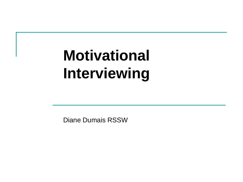# **Motivational Interviewing**

Diane Dumais RSSW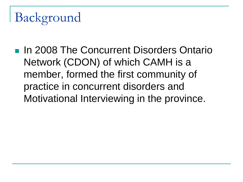# Background

**In 2008 The Concurrent Disorders Ontario** Network (CDON) of which CAMH is a member, formed the first community of practice in concurrent disorders and Motivational Interviewing in the province.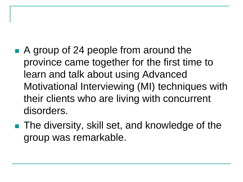- A group of 24 people from around the province came together for the first time to learn and talk about using Advanced Motivational Interviewing (MI) techniques with their clients who are living with concurrent disorders.
- The diversity, skill set, and knowledge of the group was remarkable.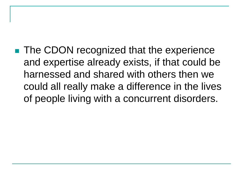■ The CDON recognized that the experience and expertise already exists, if that could be harnessed and shared with others then we could all really make a difference in the lives of people living with a concurrent disorders.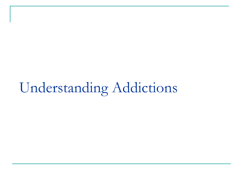# Understanding Addictions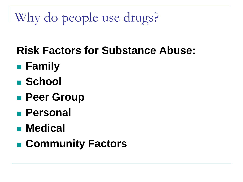# Why do people use drugs?

- **Risk Factors for Substance Abuse:**
- **Family**
- **School**
- **Peer Group**
- **Personal**
- **Medical**

■ Community Factors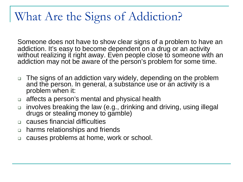### What Are the Signs of Addiction?

Someone does not have to show clear signs of a problem to have an addiction. It's easy to become dependent on a drug or an activity without realizing it right away. Even people close to someone with an addiction may not be aware of the person's problem for some time.

- □ The signs of an addiction vary widely, depending on the problem and the person. In general, a substance use or an activity is a problem when it:
- □ affects a person's mental and physical health
- □ involves breaking the law (e.g., drinking and driving, using illegal drugs or stealing money to gamble)
- causes financial difficulties
- harms relationships and friends
- □ causes problems at home, work or school.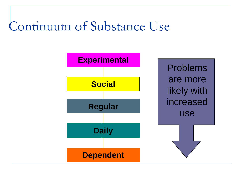### Continuum of Substance Use

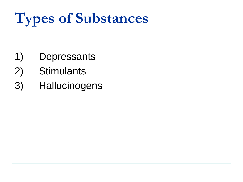# **Types of Substances**

- 1) Depressants
- 2) Stimulants
- 3) Hallucinogens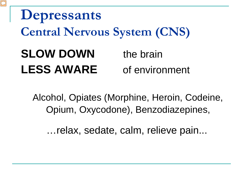# **Depressants Central Nervous System (CNS) SLOW DOWN** the brain

**LESS AWARE** of environment

 Alcohol, Opiates (Morphine, Heroin, Codeine, Opium, Oxycodone), Benzodiazepines,

…relax, sedate, calm, relieve pain...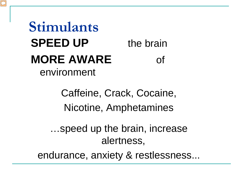## **Stimulants SPEED UP** the brain **MORE AWARE** of environment

 $\sqrt{C}$ 

Caffeine, Crack, Cocaine, Nicotine, Amphetamines

…speed up the brain, increase alertness,

endurance, anxiety & restlessness...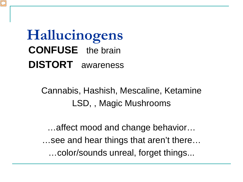## **Hallucinogens CONFUSE** the brain **DISTORT** awareness

 $\sqrt{C}$ 

Cannabis, Hashish, Mescaline, Ketamine LSD, , Magic Mushrooms

…affect mood and change behavior… …see and hear things that aren't there… …color/sounds unreal, forget things...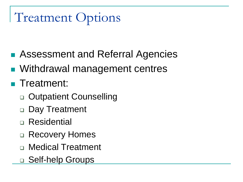## Treatment Options

- **Assessment and Referral Agencies**
- Withdrawal management centres
- **Treatment:** 
	- □ Outpatient Counselling
	- □ Day Treatment
	- □ Residential
	- □ Recovery Homes
	- Medical Treatment
	- Self-help Groups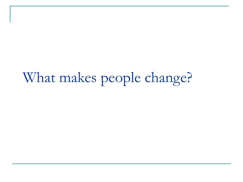# What makes people change?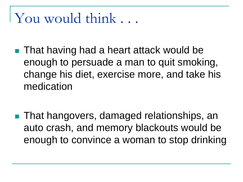You would think . . .

■ That having had a heart attack would be enough to persuade a man to quit smoking, change his diet, exercise more, and take his medication

■ That hangovers, damaged relationships, an auto crash, and memory blackouts would be enough to convince a woman to stop drinking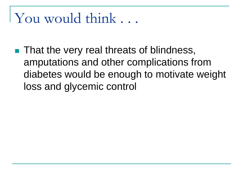## You would think . . .

 $\blacksquare$  That the very real threats of blindness, amputations and other complications from diabetes would be enough to motivate weight loss and glycemic control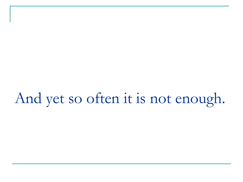# And yet so often it is not enough.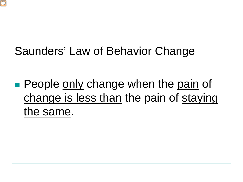## Saunders' Law of Behavior Change

**People only change when the pain of** change is less than the pain of staying the same.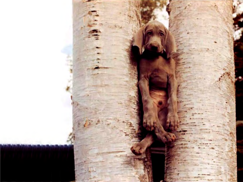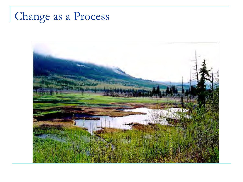### Change as a Process

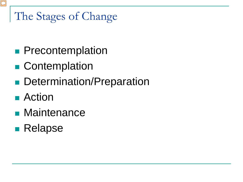### The Stages of Change

- **Precontemplation**
- **Contemplation**
- Determination/Preparation
- Action
- **Naintenance**
- **Relapse**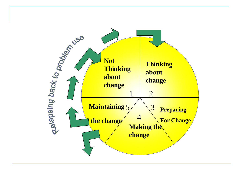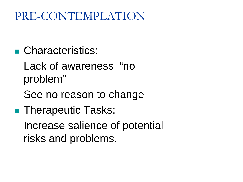#### PRE-CONTEMPLATION

- **Characteristics:** 
	- Lack of awareness "no problem"
	- See no reason to change
- **Therapeutic Tasks:** Increase salience of potential risks and problems.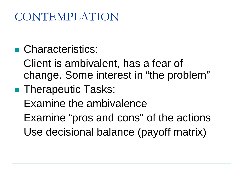## **CONTEMPLATION**

### ■ Characteristics:

 Client is ambivalent, has a fear of change. Some interest in "the problem"

- **Therapeutic Tasks:** 
	- Examine the ambivalence

Examine "pros and cons" of the actions Use decisional balance (payoff matrix)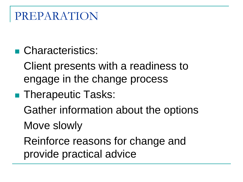#### PREPARATION

**Characteristics:** 

Client presents with a readiness to engage in the change process

- **Therapeutic Tasks:** 
	- Gather information about the options
	- Move slowly

Reinforce reasons for change and provide practical advice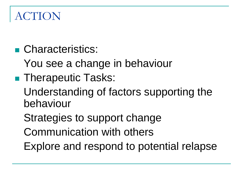### ACTION

- **Characteristics:** 
	- You see a change in behaviour
- **Therapeutic Tasks:** 
	- Understanding of factors supporting the behaviour
	- Strategies to support change
	- Communication with others
	- Explore and respond to potential relapse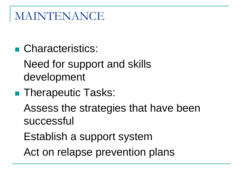### MAINTENANCE

**Characteristics:** 

Need for support and skills development

- **Therapeutic Tasks:** 
	- Assess the strategies that have been successful
	- Establish a support system
	- Act on relapse prevention plans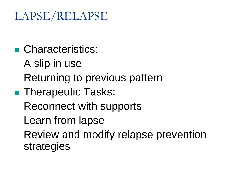#### LAPSE/RELAPSE

■ Characteristics:

A slip in use

- Returning to previous pattern
- **Therapeutic Tasks:** 
	- Reconnect with supports
	- Learn from lapse
	- Review and modify relapse prevention strategies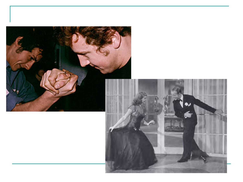

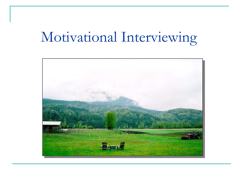# Motivational Interviewing

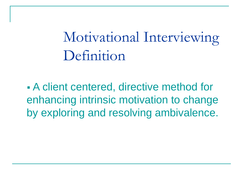Motivational Interviewing Definition

 A client centered, directive method for enhancing intrinsic motivation to change by exploring and resolving ambivalence.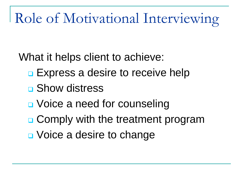Role of Motivational Interviewing

What it helps client to achieve:

- **Express a desire to receive help**
- **□ Show distress**
- Voice a need for counseling
- **□ Comply with the treatment program**
- **□** Voice a desire to change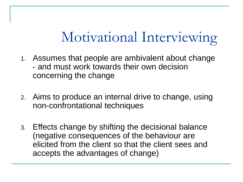## Motivational Interviewing

- 1. Assumes that people are ambivalent about change - and must work towards their own decision concerning the change
- 2. Aims to produce an internal drive to change, using non-confrontational techniques
- 3. Effects change by shifting the decisional balance (negative consequences of the behaviour are elicited from the client so that the client sees and accepts the advantages of change)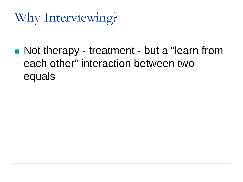Why Interviewing?

■ Not therapy - treatment - but a "learn from each other" interaction between two equals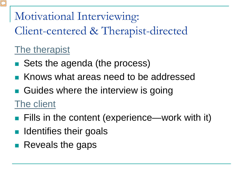#### Motivational Interviewing:

Client-centered & Therapist-directed

#### The therapist

- Sets the agenda (the process)
- Knows what areas need to be addressed
- Guides where the interview is going

#### The client

- Fills in the content (experience—work with it)
- $\blacksquare$  Identifies their goals
- Reveals the gaps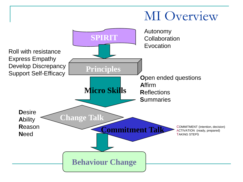### MI Overview

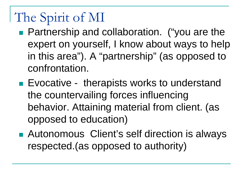## The Spirit of MI

- **Partnership and collaboration.** ("you are the expert on yourself, I know about ways to help in this area"). A "partnership" (as opposed to confrontation.
- **Evocative therapists works to understand** the countervailing forces influencing behavior. Attaining material from client. (as opposed to education)
- Autonomous Client's self direction is always respected.(as opposed to authority)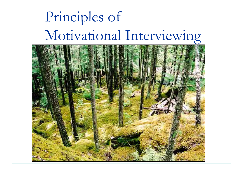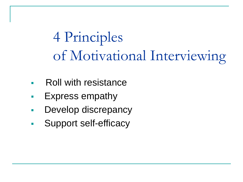# 4 Principles of Motivational Interviewing

- **Roll with resistance**
- **Express empathy**
- **-** Develop discrepancy
- **Support self-efficacy**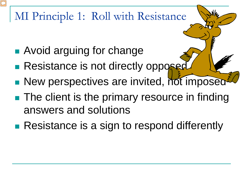#### MI Principle 1: Roll with Resistance

- **Avoid arguing for change**
- **Resistance is not directly opposed**
- Rew perspectives are invited, not imposed
- **The client is the primary resource in finding** answers and solutions
- **Resistance is a sign to respond differently**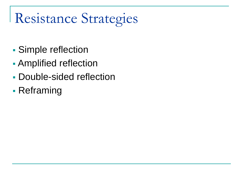# Resistance Strategies

- Simple reflection
- Amplified reflection
- Double-sided reflection
- Reframing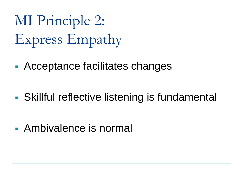MI Principle 2: Express Empathy

Acceptance facilitates changes

■ Skillful reflective listening is fundamental

Ambivalence is normal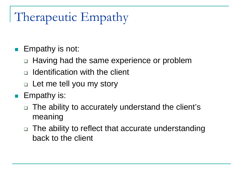## Therapeutic Empathy

- **E** Empathy is not:
	- □ Having had the same experience or problem
	- $\Box$  Identification with the client
	- **Let me tell you my story**
- **E**mpathy is:
	- The ability to accurately understand the client's meaning
	- □ The ability to reflect that accurate understanding back to the client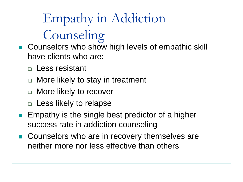Empathy in Addiction **Counseling** 

- **Counselors who show high levels of empathic skill** have clients who are:
	- Less resistant
	- □ More likely to stay in treatment
	- □ More likely to recover
	- □ Less likely to relapse
- **Empathy is the single best predictor of a higher** success rate in addiction counseling
- Counselors who are in recovery themselves are neither more nor less effective than others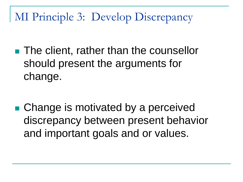MI Principle 3: Develop Discrepancy

**The client, rather than the counsellor** should present the arguments for change.

■ Change is motivated by a perceived discrepancy between present behavior and important goals and or values.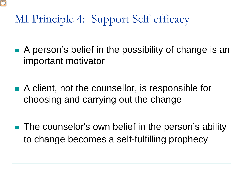#### MI Principle 4: Support Self-efficacy

- A person's belief in the possibility of change is an important motivator
- A client, not the counsellor, is responsible for choosing and carrying out the change
- The counselor's own belief in the person's ability to change becomes a self-fulfilling prophecy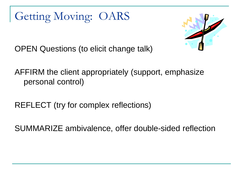#### Getting Moving: OARS



OPEN Questions (to elicit change talk)

AFFIRM the client appropriately (support, emphasize personal control)

REFLECT (try for complex reflections)

SUMMARIZE ambivalence, offer double-sided reflection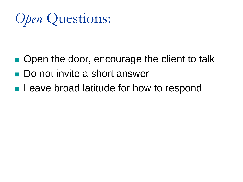*Open* Questions:

- Open the door, encourage the client to talk
- Do not invite a short answer
- **Leave broad latitude for how to respond**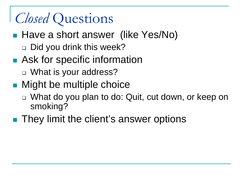## *Closed* Questions

- Have a short answer (like Yes/No) □ Did you drink this week?
- Ask for specific information
	- □ What is your address?
- **Might be multiple choice** 
	- □ What do you plan to do: Quit, cut down, or keep on smoking?
- **They limit the client's answer options**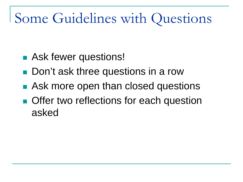# Some Guidelines with Questions

- Ask fewer questions!
- Don't ask three questions in a row
- Ask more open than closed questions
- **Offer two reflections for each question** asked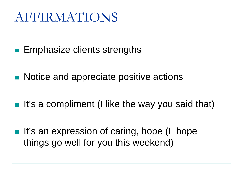## AFFIRMATIONS

- **Emphasize clients strengths**
- Notice and appreciate positive actions
- $\blacksquare$  It's a compliment (I like the way you said that)
- **It's an expression of caring, hope (I hope** things go well for you this weekend)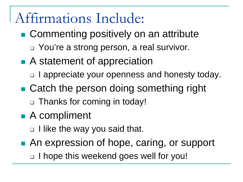## Affirmations Include:

- Commenting positively on an attribute
	- □ You're a strong person, a real survivor.
- A statement of appreciation
	- □ I appreciate your openness and honesty today.
- Catch the person doing something right
	- □ Thanks for coming in today!
- A compliment
	- $\Box$  I like the way you said that.
- An expression of hope, caring, or support I hope this weekend goes well for you!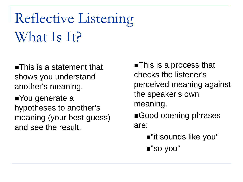# Reflective Listening What Is It?

**This is a statement that** shows you understand another's meaning.

■You generate a hypotheses to another's meaning (your best guess) and see the result.

**This is a process that** checks the listener's perceived meaning against the speaker's own meaning. Good opening phrases

are:

"it sounds like you"

"so you"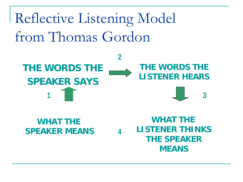Reflective Listening Model from Thomas Gordon **THE WORDS THE THE WORDS THE 2** 

**SPEAKER SAYS**

**1** 

**WHAT THE SPEAKER MEANS WHAT THE LISTENER THINKS THE SPEAKER MEANS 4** 

**LISTENER HEARS**

**3**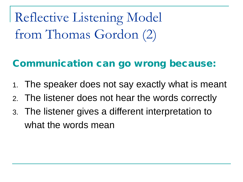Reflective Listening Model from Thomas Gordon (2)

#### Communication can go wrong because:

- 1. The speaker does not say exactly what is meant
- 2. The listener does not hear the words correctly
- 3. The listener gives a different interpretation to what the words mean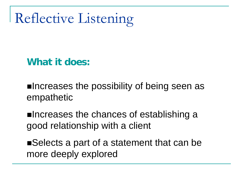# Reflective Listening

**What it does:**

 $\blacksquare$ Increases the possibility of being seen as empathetic

 $\blacksquare$ Increases the chances of establishing a good relationship with a client

■Selects a part of a statement that can be more deeply explored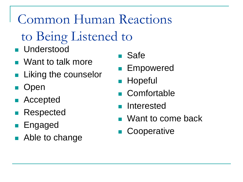## Common Human Reactions

- to Being Listened to
- **Understood**
- **Nant to talk more**
- **Liking the counselor**
- Open
- Accepted
- Respected
- Engaged
- Able to change

Safe

- **Empowered**
- **Hopeful**
- Comfortable
- Interested
- Want to come back
- **Cooperative**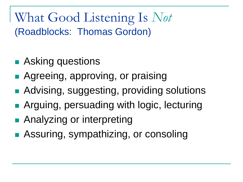What Good Listening Is *Not* (Roadblocks: Thomas Gordon)

- Asking questions
- **Agreeing, approving, or praising**
- **Advising, suggesting, providing solutions**
- **Arguing, persuading with logic, lecturing**
- **Analyzing or interpreting**
- Assuring, sympathizing, or consoling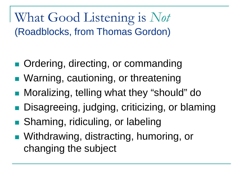What Good Listening is *Not* (Roadblocks, from Thomas Gordon)

- Ordering, directing, or commanding
- **Narning, cautioning, or threatening**
- Moralizing, telling what they "should" do
- Disagreeing, judging, criticizing, or blaming
- Shaming, ridiculing, or labeling
- Withdrawing, distracting, humoring, or changing the subject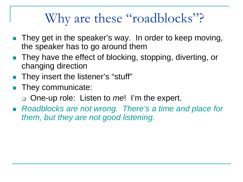#### Why are these "roadblocks"?

- **They get in the speaker's way. In order to keep moving,** the speaker has to go around them
- They have the effect of blocking, stopping, diverting, or changing direction
- They insert the listener's "stuff"
- They communicate:
	- One-up role: Listen to *me*! I'm the expert.
- *Roadblocks are not wrong. There's a time and place for them, but they are not good listening.*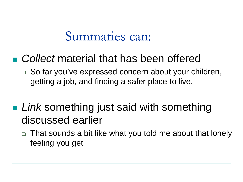#### Summaries can:

#### **E** Collect material that has been offered

- □ So far you've expressed concern about your children, getting a job, and finding a safer place to live.
- *Link* something just said with something discussed earlier
	- That sounds a bit like what you told me about that lonely feeling you get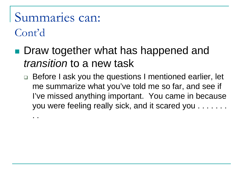## Summaries can: Cont'd

. .

- Draw together what has happened and *transition* to a new task
	- □ Before I ask you the questions I mentioned earlier, let me summarize what you've told me so far, and see if I've missed anything important. You came in because you were feeling really sick, and it scared you . . . . . . .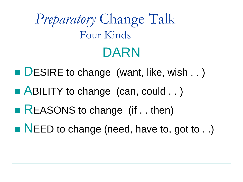# *Preparatory* Change Talk Four Kinds DARN

- **DESIRE to change (want, like, wish..)**
- **ABILITY** to change (can, could . . )
- REASONS to change (if . . then)
- NEED to change (need, have to, got to . .)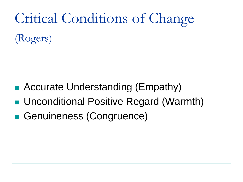# Critical Conditions of Change

(Rogers)

- Accurate Understanding (Empathy)
- Unconditional Positive Regard (Warmth)
- Genuineness (Congruence)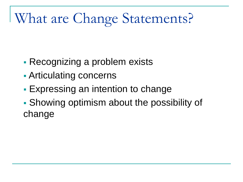# What are Change Statements?

- Recognizing a problem exists
- Articulating concerns
- **Expressing an intention to change**
- Showing optimism about the possibility of change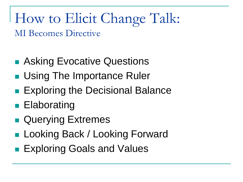## How to Elicit Change Talk: MI Becomes Directive

- Asking Evocative Questions
- **Using The Importance Ruler**
- **Exploring the Decisional Balance**
- **Elaborating**
- **Querying Extremes**
- **Looking Back / Looking Forward**
- **Exploring Goals and Values**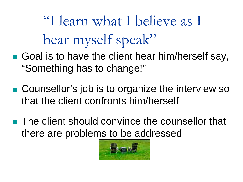"I learn what I believe as I hear myself speak"

- Goal is to have the client hear him/herself say, "Something has to change!"
- Counsellor's job is to organize the interview so that the client confronts him/herself
- **The client should convince the counsellor that** there are problems to be addressed

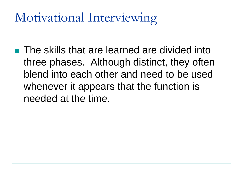## Motivational Interviewing

**The skills that are learned are divided into** three phases. Although distinct, they often blend into each other and need to be used whenever it appears that the function is needed at the time.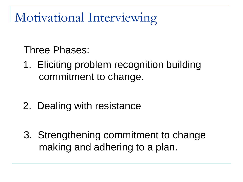Motivational Interviewing

Three Phases:

- 1. Eliciting problem recognition building commitment to change.
- 2. Dealing with resistance
- 3. Strengthening commitment to change making and adhering to a plan.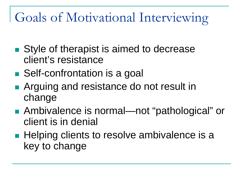## Goals of Motivational Interviewing

- Style of therapist is aimed to decrease client's resistance
- Self-confrontation is a goal
- Arguing and resistance do not result in change
- Ambivalence is normal—not "pathological" or client is in denial
- $\blacksquare$  Helping clients to resolve ambivalence is a key to change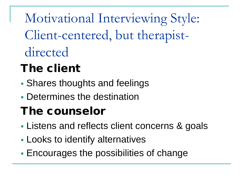Motivational Interviewing Style: Client-centered, but therapistdirected

### The client

- Shares thoughts and feelings
- Determines the destination

#### The counselor

- **Listens and reflects client concerns & goals**
- **Looks to identify alternatives**
- Encourages the possibilities of change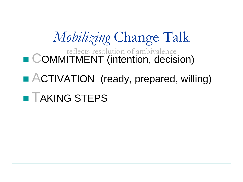#### *Mobilizing* Change Talk reflects resolution of ambivalence **COMMITMENT** (intention, decision)

**ACTIVATION** (ready, prepared, willing)

**TAKING STEPS**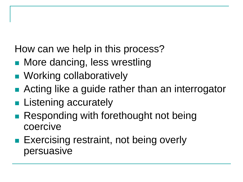How can we help in this process?

- More dancing, less wrestling
- Working collaboratively
- Acting like a guide rather than an interrogator
- **Listening accurately**
- Responding with forethought not being coercive
- **Exercising restraint, not being overly** persuasive